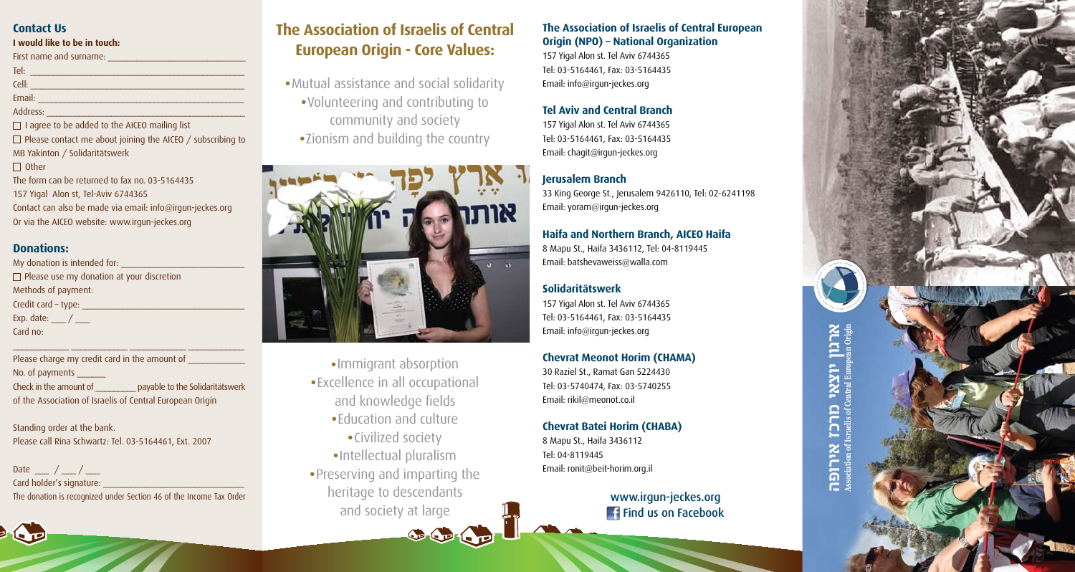#### **Contact Us**

#### **I** would like to be in touch:

# **Origin European Central of Israelis of Association ארגון יוצאי מרכז אירופה** <u>הם</u>

First name and surname: \_\_\_\_\_\_\_\_\_\_\_\_\_\_\_\_\_\_\_\_\_\_\_\_\_\_\_\_\_\_\_\_\_\_\_\_\_\_\_\_\_\_\_\_\_\_ :Tel \_\_\_\_\_\_\_\_\_\_\_\_\_\_\_\_\_\_\_\_\_\_\_\_\_\_\_\_\_\_\_\_\_\_\_\_\_\_\_\_\_\_\_\_\_ :Cell

# **Solidaritätswerk**

157 Yigal Alon st. Tel Aviv 6744365 Tel: 03-5164461, Fax: 03-5164435 Email: info@irgun-jeckes.org

#### **Chevrat Meonot Horim (CHAMA)**

30 Raziel St., Ramat Gan 5224430 Tel: 03-5740474, Fax: 03-5740255 Email: rikil@meonot.co.il

# **Chevrat Batei Horim (CHABA)**

8 Mapu St., Haifa 3436112 Tel: 04-8119445 Email: ronit@beit-horim.org.il

# www.irgun-jeckes.org **Facebook Find us on Facebook**

\_\_\_\_\_\_\_\_\_\_\_\_\_\_\_\_\_\_\_\_\_\_\_\_\_\_\_\_\_\_\_\_\_\_\_\_\_\_\_\_\_\_\_\_\_\_ :Email \_\_\_\_\_\_\_\_\_\_\_\_\_\_\_\_\_\_\_\_\_\_\_\_\_\_\_\_\_\_\_\_\_\_\_\_\_\_\_\_\_\_\_ :Address

 $\Box$  I agree to be added to the AICEO mailing list

 $\Box$  Please contact me about joining the AICEO / subscribing to MB Yakinton / Solidaritätswerk

 $\Box$  Other

The form can be returned to fax no.  $03-5164435$ 157 Yigal Alon st, Tel-Aviv 6744365 Contact can also be made via email: info@irgun-jeckes.org Or via the AICEO website: www.irgun-jeckes.org

#### **:Donations**

My donation is intended for:  $\Box$  Please use my donation at your discretion Methods of payment: Credit card – type: Exp. date:  $\angle$ Card no:

Please charge my credit card in the amount of No. of payments ... Check in the amount of payable to the Solidaritätswerk of the Association of Israelis of Central European Origin

\_\_\_\_\_\_\_\_\_\_\_\_ \_\_\_\_\_\_\_\_\_\_\_\_ \_\_\_\_\_\_\_\_\_\_\_\_ \_\_\_\_\_\_\_\_\_\_\_\_

Standing order at the bank. Please call Rina Schwartz: Tel. 03-5164461, Ext. 2007

Date /  $/$ Card holder's signature: The donation is recognized under Section 46 of the Income Tax Order

# **The Association of Israelis of Central European Origin - Core Values:**

- Mutual assistance and social solidarity
	- Volunteering and contributing to community and society
	- Zionism and building the country



- Immigrant absorption
- Excellence in all occupational and knowledge fields
	- Education and culture
		- Civilized society
	- · Intellectual pluralism
- Preserving and imparting the heritage to descendants and society at large

#### **The Association of Israelis of Central European Origin (NPO) – National Organization**

157 Yigal Alon st. Tel Aviv 6744365 Tel: 03-5164461, Fax: 03-5164435 Email: info@irgun-jeckes.org

#### **Tel Aviv and Central Branch**

157 Yigal Alon st. Tel Aviv 6744365 Tel: 03-5164461, Fax: 03-5164435 Email: chagit@irgun-jeckes.org

# **Jerusalem Branch**

33 King George St., Jerusalem 9426110, Tel: 02-6241198 Email: yoram@irgun-jeckes.org

# **Haifa and Northern Branch, AICEO Haifa**

8 Mapu St., Haifa 3436112, Tel: 04-8119445 Email: batshevaweiss@walla.com